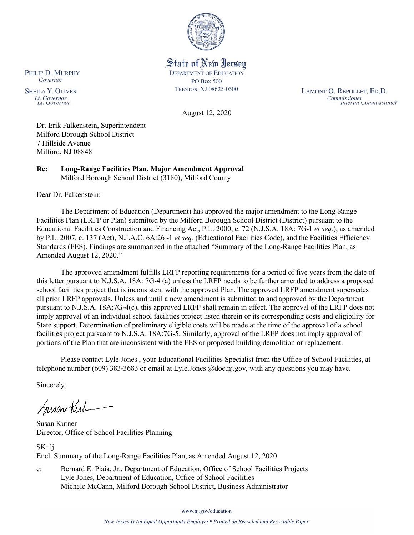

State of New Jersey **DEPARTMENT OF EDUCATION PO Box 500** TRENTON, NJ 08625-0500

LAMONT O. REPOLLET, ED.D. Commissioner<br>Thuer un Commussioner

August 12, 2020

Dr. Erik Falkenstein, Superintendent Milford Borough School District 7 Hillside Avenue Milford, NJ 08848

**Re: Long-Range Facilities Plan, Major Amendment Approval**  Milford Borough School District (3180), Milford County

Dear Dr. Falkenstein:

PHILIP D. MURPHY Governor

**SHEILA Y. OLIVER** 

Lt. Governor

 $\mu$ . OUVET IWE

The Department of Education (Department) has approved the major amendment to the Long-Range Facilities Plan (LRFP or Plan) submitted by the Milford Borough School District (District) pursuant to the Educational Facilities Construction and Financing Act, P.L. 2000, c. 72 (N.J.S.A. 18A: 7G-1 *et seq.*), as amended by P.L. 2007, c. 137 (Act), N.J.A.C. 6A:26 -1 *et seq.* (Educational Facilities Code), and the Facilities Efficiency Standards (FES). Findings are summarized in the attached "Summary of the Long-Range Facilities Plan, as Amended August 12, 2020."

The approved amendment fulfills LRFP reporting requirements for a period of five years from the date of this letter pursuant to N.J.S.A. 18A: 7G-4 (a) unless the LRFP needs to be further amended to address a proposed school facilities project that is inconsistent with the approved Plan. The approved LRFP amendment supersedes all prior LRFP approvals. Unless and until a new amendment is submitted to and approved by the Department pursuant to N.J.S.A. 18A:7G-4(c), this approved LRFP shall remain in effect. The approval of the LRFP does not imply approval of an individual school facilities project listed therein or its corresponding costs and eligibility for State support. Determination of preliminary eligible costs will be made at the time of the approval of a school facilities project pursuant to N.J.S.A. 18A:7G-5. Similarly, approval of the LRFP does not imply approval of portions of the Plan that are inconsistent with the FES or proposed building demolition or replacement.

Please contact Lyle Jones , your Educational Facilities Specialist from the Office of School Facilities, at telephone number (609) 383-3683 or email at Lyle.Jones @doe.nj.gov, with any questions you may have.

Sincerely,

Susan Kich

Susan Kutner Director, Office of School Facilities Planning

SK: lj Encl. Summary of the Long-Range Facilities Plan, as Amended August 12, 2020

c: Bernard E. Piaia, Jr., Department of Education, Office of School Facilities Projects Lyle Jones, Department of Education, Office of School Facilities Michele McCann, Milford Borough School District, Business Administrator

www.nj.gov/education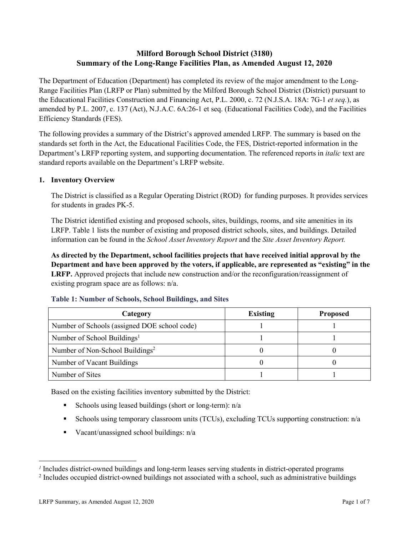# **Milford Borough School District (3180) Summary of the Long-Range Facilities Plan, as Amended August 12, 2020**

The Department of Education (Department) has completed its review of the major amendment to the Long-Range Facilities Plan (LRFP or Plan) submitted by the Milford Borough School District (District) pursuant to the Educational Facilities Construction and Financing Act, P.L. 2000, c. 72 (N.J.S.A. 18A: 7G-1 *et seq.*), as amended by P.L. 2007, c. 137 (Act), N.J.A.C. 6A:26-1 et seq. (Educational Facilities Code), and the Facilities Efficiency Standards (FES).

The following provides a summary of the District's approved amended LRFP. The summary is based on the standards set forth in the Act, the Educational Facilities Code, the FES, District-reported information in the Department's LRFP reporting system, and supporting documentation. The referenced reports in *italic* text are standard reports available on the Department's LRFP website.

# **1. Inventory Overview**

The District is classified as a Regular Operating District (ROD) for funding purposes. It provides services for students in grades PK-5.

The District identified existing and proposed schools, sites, buildings, rooms, and site amenities in its LRFP. Table 1 lists the number of existing and proposed district schools, sites, and buildings. Detailed information can be found in the *School Asset Inventory Report* and the *Site Asset Inventory Report.*

**As directed by the Department, school facilities projects that have received initial approval by the Department and have been approved by the voters, if applicable, are represented as "existing" in the LRFP.** Approved projects that include new construction and/or the reconfiguration/reassignment of existing program space are as follows: n/a.

| Category                                     | <b>Existing</b> | <b>Proposed</b> |
|----------------------------------------------|-----------------|-----------------|
| Number of Schools (assigned DOE school code) |                 |                 |
| Number of School Buildings <sup>1</sup>      |                 |                 |
| Number of Non-School Buildings <sup>2</sup>  |                 |                 |
| Number of Vacant Buildings                   |                 |                 |
| Number of Sites                              |                 |                 |

# **Table 1: Number of Schools, School Buildings, and Sites**

Based on the existing facilities inventory submitted by the District:

- Schools using leased buildings (short or long-term):  $n/a$
- Schools using temporary classroom units (TCUs), excluding TCUs supporting construction: n/a
- Vacant/unassigned school buildings:  $n/a$

 $\overline{a}$ 

*<sup>1</sup>* Includes district-owned buildings and long-term leases serving students in district-operated programs

<sup>&</sup>lt;sup>2</sup> Includes occupied district-owned buildings not associated with a school, such as administrative buildings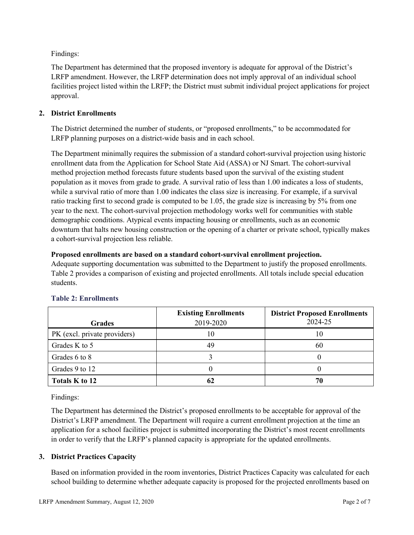Findings:

The Department has determined that the proposed inventory is adequate for approval of the District's LRFP amendment. However, the LRFP determination does not imply approval of an individual school facilities project listed within the LRFP; the District must submit individual project applications for project approval.

# **2. District Enrollments**

The District determined the number of students, or "proposed enrollments," to be accommodated for LRFP planning purposes on a district-wide basis and in each school.

The Department minimally requires the submission of a standard cohort-survival projection using historic enrollment data from the Application for School State Aid (ASSA) or NJ Smart. The cohort-survival method projection method forecasts future students based upon the survival of the existing student population as it moves from grade to grade. A survival ratio of less than 1.00 indicates a loss of students, while a survival ratio of more than 1.00 indicates the class size is increasing. For example, if a survival ratio tracking first to second grade is computed to be 1.05, the grade size is increasing by 5% from one year to the next. The cohort-survival projection methodology works well for communities with stable demographic conditions. Atypical events impacting housing or enrollments, such as an economic downturn that halts new housing construction or the opening of a charter or private school, typically makes a cohort-survival projection less reliable.

# **Proposed enrollments are based on a standard cohort-survival enrollment projection.**

Adequate supporting documentation was submitted to the Department to justify the proposed enrollments. Table 2 provides a comparison of existing and projected enrollments. All totals include special education students.

|                              | <b>Existing Enrollments</b> | <b>District Proposed Enrollments</b> |
|------------------------------|-----------------------------|--------------------------------------|
| <b>Grades</b>                | 2019-2020                   | 2024-25                              |
| PK (excl. private providers) |                             | 10                                   |
| Grades K to 5                | 49                          | 60                                   |
| Grades 6 to 8                |                             |                                      |
| Grades 9 to 12               |                             |                                      |
| Totals K to 12               | 62                          | 70                                   |

# **Table 2: Enrollments**

Findings:

The Department has determined the District's proposed enrollments to be acceptable for approval of the District's LRFP amendment. The Department will require a current enrollment projection at the time an application for a school facilities project is submitted incorporating the District's most recent enrollments in order to verify that the LRFP's planned capacity is appropriate for the updated enrollments.

# **3. District Practices Capacity**

Based on information provided in the room inventories, District Practices Capacity was calculated for each school building to determine whether adequate capacity is proposed for the projected enrollments based on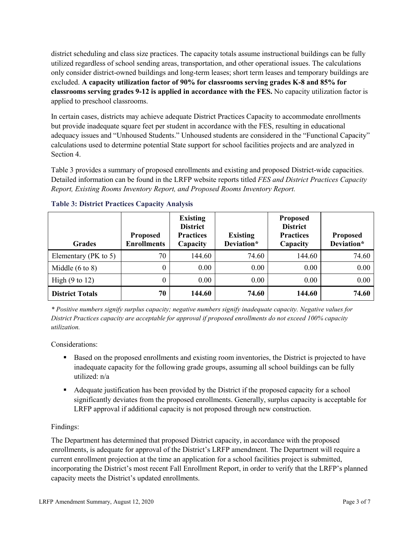district scheduling and class size practices. The capacity totals assume instructional buildings can be fully utilized regardless of school sending areas, transportation, and other operational issues. The calculations only consider district-owned buildings and long-term leases; short term leases and temporary buildings are excluded. **A capacity utilization factor of 90% for classrooms serving grades K-8 and 85% for classrooms serving grades 9-12 is applied in accordance with the FES.** No capacity utilization factor is applied to preschool classrooms.

In certain cases, districts may achieve adequate District Practices Capacity to accommodate enrollments but provide inadequate square feet per student in accordance with the FES, resulting in educational adequacy issues and "Unhoused Students." Unhoused students are considered in the "Functional Capacity" calculations used to determine potential State support for school facilities projects and are analyzed in Section 4.

Table 3 provides a summary of proposed enrollments and existing and proposed District-wide capacities. Detailed information can be found in the LRFP website reports titled *FES and District Practices Capacity Report, Existing Rooms Inventory Report, and Proposed Rooms Inventory Report.*

| <b>Grades</b>              | <b>Proposed</b><br><b>Enrollments</b> | <b>Existing</b><br><b>District</b><br><b>Practices</b><br>Capacity | <b>Existing</b><br>Deviation* | <b>Proposed</b><br><b>District</b><br><b>Practices</b><br>Capacity | <b>Proposed</b><br>Deviation* |
|----------------------------|---------------------------------------|--------------------------------------------------------------------|-------------------------------|--------------------------------------------------------------------|-------------------------------|
| Elementary ( $PK$ to 5)    | 70                                    | 144.60                                                             | 74.60                         | 144.60                                                             | 74.60                         |
| Middle $(6 \text{ to } 8)$ | 0                                     | 0.00                                                               | 0.00                          | 0.00                                                               | 0.00                          |
| High $(9 \text{ to } 12)$  | 0                                     | 0.00                                                               | 0.00                          | 0.00                                                               | 0.00                          |
| <b>District Totals</b>     | 70                                    | 144.60                                                             | 74.60                         | 144.60                                                             | 74.60                         |

# **Table 3: District Practices Capacity Analysis**

*\* Positive numbers signify surplus capacity; negative numbers signify inadequate capacity. Negative values for District Practices capacity are acceptable for approval if proposed enrollments do not exceed 100% capacity utilization.*

Considerations:

- Based on the proposed enrollments and existing room inventories, the District is projected to have inadequate capacity for the following grade groups, assuming all school buildings can be fully utilized: n/a
- Adequate justification has been provided by the District if the proposed capacity for a school significantly deviates from the proposed enrollments. Generally, surplus capacity is acceptable for LRFP approval if additional capacity is not proposed through new construction.

# Findings:

The Department has determined that proposed District capacity, in accordance with the proposed enrollments, is adequate for approval of the District's LRFP amendment. The Department will require a current enrollment projection at the time an application for a school facilities project is submitted, incorporating the District's most recent Fall Enrollment Report, in order to verify that the LRFP's planned capacity meets the District's updated enrollments.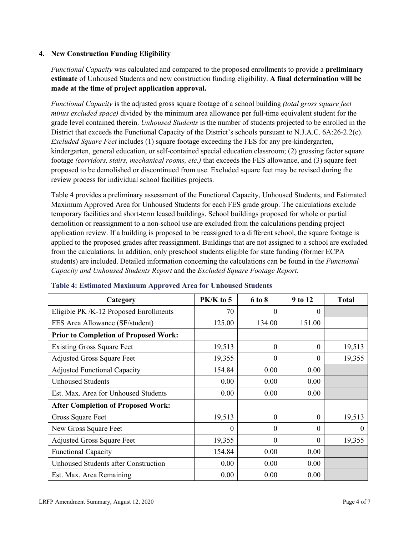### **4. New Construction Funding Eligibility**

*Functional Capacity* was calculated and compared to the proposed enrollments to provide a **preliminary estimate** of Unhoused Students and new construction funding eligibility. **A final determination will be made at the time of project application approval.**

*Functional Capacity* is the adjusted gross square footage of a school building *(total gross square feet minus excluded space)* divided by the minimum area allowance per full-time equivalent student for the grade level contained therein. *Unhoused Students* is the number of students projected to be enrolled in the District that exceeds the Functional Capacity of the District's schools pursuant to N.J.A.C. 6A:26-2.2(c). *Excluded Square Feet* includes (1) square footage exceeding the FES for any pre-kindergarten, kindergarten, general education, or self-contained special education classroom; (2) grossing factor square footage *(corridors, stairs, mechanical rooms, etc.)* that exceeds the FES allowance, and (3) square feet proposed to be demolished or discontinued from use. Excluded square feet may be revised during the review process for individual school facilities projects.

Table 4 provides a preliminary assessment of the Functional Capacity, Unhoused Students, and Estimated Maximum Approved Area for Unhoused Students for each FES grade group. The calculations exclude temporary facilities and short-term leased buildings. School buildings proposed for whole or partial demolition or reassignment to a non-school use are excluded from the calculations pending project application review. If a building is proposed to be reassigned to a different school, the square footage is applied to the proposed grades after reassignment. Buildings that are not assigned to a school are excluded from the calculations. In addition, only preschool students eligible for state funding (former ECPA students) are included. Detailed information concerning the calculations can be found in the *Functional Capacity and Unhoused Students Report* and the *Excluded Square Footage Report.*

| Category                                     | PK/K to 5 | 6 to 8   | 9 to 12  | <b>Total</b> |
|----------------------------------------------|-----------|----------|----------|--------------|
| Eligible PK /K-12 Proposed Enrollments       | 70        | $\theta$ | 0        |              |
| FES Area Allowance (SF/student)              | 125.00    | 134.00   | 151.00   |              |
| <b>Prior to Completion of Proposed Work:</b> |           |          |          |              |
| <b>Existing Gross Square Feet</b>            | 19,513    | $\Omega$ | 0        | 19,513       |
| <b>Adjusted Gross Square Feet</b>            | 19,355    | $\theta$ | $\theta$ | 19,355       |
| <b>Adjusted Functional Capacity</b>          | 154.84    | 0.00     | 0.00     |              |
| <b>Unhoused Students</b>                     | 0.00      | 0.00     | 0.00     |              |
| Est. Max. Area for Unhoused Students         | 0.00      | 0.00     | 0.00     |              |
| <b>After Completion of Proposed Work:</b>    |           |          |          |              |
| Gross Square Feet                            | 19,513    | $\theta$ | $\theta$ | 19,513       |
| New Gross Square Feet                        | $\theta$  | $\Omega$ | $\Omega$ | $\Omega$     |
| <b>Adjusted Gross Square Feet</b>            | 19,355    | $\Omega$ | $\Omega$ | 19,355       |
| <b>Functional Capacity</b>                   | 154.84    | 0.00     | 0.00     |              |
| <b>Unhoused Students after Construction</b>  | 0.00      | 0.00     | 0.00     |              |
| Est. Max. Area Remaining                     | 0.00      | 0.00     | 0.00     |              |

#### **Table 4: Estimated Maximum Approved Area for Unhoused Students**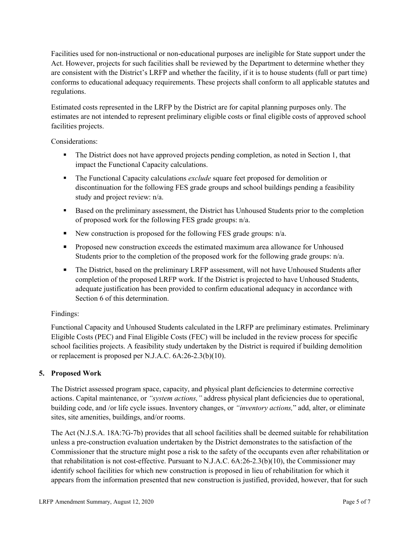Facilities used for non-instructional or non-educational purposes are ineligible for State support under the Act. However, projects for such facilities shall be reviewed by the Department to determine whether they are consistent with the District's LRFP and whether the facility, if it is to house students (full or part time) conforms to educational adequacy requirements. These projects shall conform to all applicable statutes and regulations.

Estimated costs represented in the LRFP by the District are for capital planning purposes only. The estimates are not intended to represent preliminary eligible costs or final eligible costs of approved school facilities projects.

Considerations:

- The District does not have approved projects pending completion, as noted in Section 1, that impact the Functional Capacity calculations.
- **The Functional Capacity calculations** *exclude* square feet proposed for demolition or discontinuation for the following FES grade groups and school buildings pending a feasibility study and project review: n/a.
- Based on the preliminary assessment, the District has Unhoused Students prior to the completion of proposed work for the following FES grade groups: n/a.
- New construction is proposed for the following FES grade groups: n/a.
- Proposed new construction exceeds the estimated maximum area allowance for Unhoused Students prior to the completion of the proposed work for the following grade groups: n/a.
- The District, based on the preliminary LRFP assessment, will not have Unhoused Students after completion of the proposed LRFP work. If the District is projected to have Unhoused Students, adequate justification has been provided to confirm educational adequacy in accordance with Section 6 of this determination.

# Findings:

Functional Capacity and Unhoused Students calculated in the LRFP are preliminary estimates. Preliminary Eligible Costs (PEC) and Final Eligible Costs (FEC) will be included in the review process for specific school facilities projects. A feasibility study undertaken by the District is required if building demolition or replacement is proposed per N.J.A.C. 6A:26-2.3(b)(10).

# **5. Proposed Work**

The District assessed program space, capacity, and physical plant deficiencies to determine corrective actions. Capital maintenance, or *"system actions,"* address physical plant deficiencies due to operational, building code, and /or life cycle issues. Inventory changes, or *"inventory actions,*" add, alter, or eliminate sites, site amenities, buildings, and/or rooms.

The Act (N.J.S.A. 18A:7G-7b) provides that all school facilities shall be deemed suitable for rehabilitation unless a pre-construction evaluation undertaken by the District demonstrates to the satisfaction of the Commissioner that the structure might pose a risk to the safety of the occupants even after rehabilitation or that rehabilitation is not cost-effective. Pursuant to N.J.A.C. 6A:26-2.3(b)(10), the Commissioner may identify school facilities for which new construction is proposed in lieu of rehabilitation for which it appears from the information presented that new construction is justified, provided, however, that for such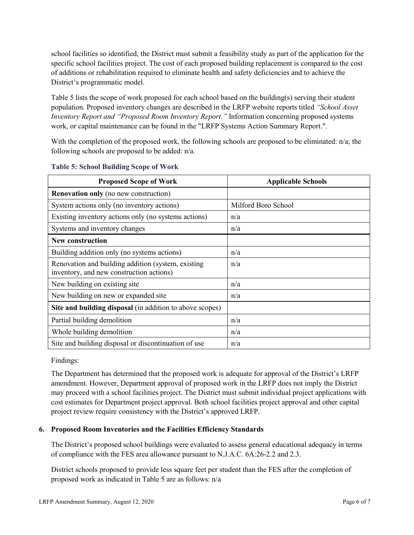school facilities so identified, the District must submit a feasibility study as part of the application for the specific school facilities project. The cost of each proposed building replacement is compared to the cost of additions or rehabilitation required to eliminate health and safety deficiencies and to achieve the District's programmatic model.

Table 5 lists the scope of work proposed for each school based on the building(s) serving their student population. Proposed inventory changes are described in the LRFP website reports titled *"School Asset Inventory Report and "Proposed Room Inventory Report."* Information concerning proposed systems work, or capital maintenance can be found in the "LRFP Systems Action Summary Report.".

With the completion of the proposed work, the following schools are proposed to be eliminated: n/a; the following schools are proposed to be added: n/a.

| <b>Proposed Scope of Work</b>                                                                  | <b>Applicable Schools</b> |
|------------------------------------------------------------------------------------------------|---------------------------|
| <b>Renovation only</b> (no new construction)                                                   |                           |
| System actions only (no inventory actions)                                                     | Milford Boro School       |
| Existing inventory actions only (no systems actions)                                           | n/a                       |
| Systems and inventory changes                                                                  | n/a                       |
| <b>New construction</b>                                                                        |                           |
| Building addition only (no systems actions)                                                    | n/a                       |
| Renovation and building addition (system, existing<br>inventory, and new construction actions) | n/a                       |
| New building on existing site                                                                  | n/a                       |
| New building on new or expanded site                                                           | n/a                       |
| Site and building disposal (in addition to above scopes)                                       |                           |
| Partial building demolition                                                                    | n/a                       |
| Whole building demolition                                                                      | n/a                       |
| Site and building disposal or discontinuation of use                                           | n/a                       |

### **Table 5: School Building Scope of Work**

Findings:

The Department has determined that the proposed work is adequate for approval of the District's LRFP amendment. However, Department approval of proposed work in the LRFP does not imply the District may proceed with a school facilities project. The District must submit individual project applications with cost estimates for Department project approval. Both school facilities project approval and other capital project review require consistency with the District's approved LRFP.

# **6. Proposed Room Inventories and the Facilities Efficiency Standards**

The District's proposed school buildings were evaluated to assess general educational adequacy in terms of compliance with the FES area allowance pursuant to N.J.A.C. 6A:26-2.2 and 2.3.

District schools proposed to provide less square feet per student than the FES after the completion of proposed work as indicated in Table 5 are as follows: n/a